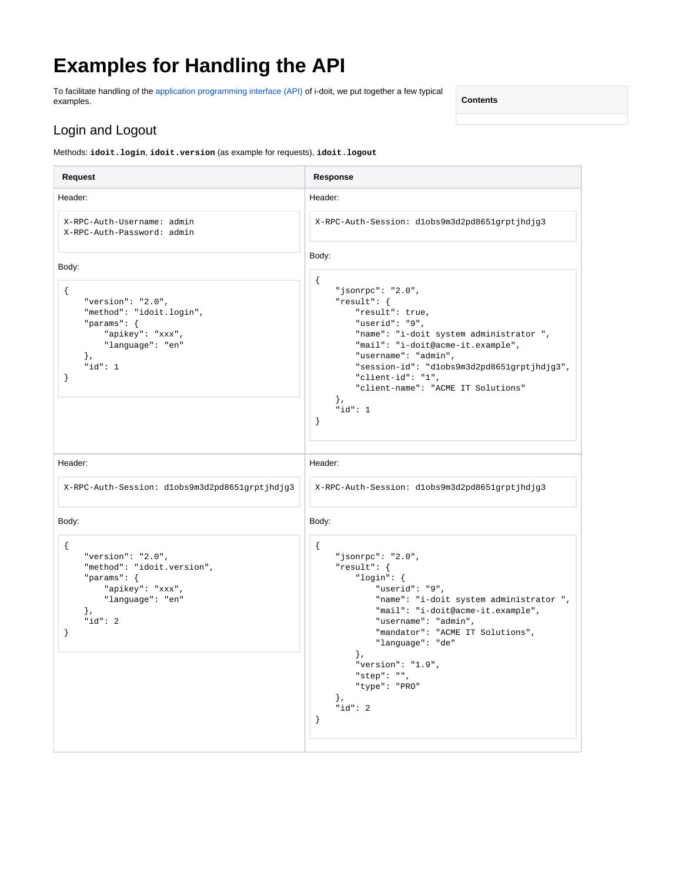# **Examples for Handling the API**

To facilitate handling of the [application programming interface \(API\)](https://kb.i-doit.com/pages/viewpage.action?pageId=37355644) of i-doit, we put together a few typical examples.

**Contents**

#### Login and Logout

Methods: **idoit.login**, **idoit.version** (as example for requests), **idoit.logout**

**Request Response** Header: X-RPC-Auth-Username: admin X-RPC-Auth-Password: admin Body: { "version": "2.0", "method": "idoit.login", "params": { "apikey": "xxx", "language": "en" }, "id": 1 } Header: X-RPC-Auth-Session: d1obs9m3d2pd8651grptjhdjg3 Body: { "jsonrpc": "2.0", "result": { "result": true, "userid": "9", "name": "i-doit system administrator ", "mail": "i-doit@acme-it.example", "username": "admin", "session-id": "d1obs9m3d2pd8651grptjhdjg3", "client-id": "1", "client-name": "ACME IT Solutions" }, "id": 1 } Header: X-RPC-Auth-Session: d1obs9m3d2pd8651grptjhdjg3 Body: { "version": "2.0", "method": "idoit.version", "params": { "apikey": "xxx", "language": "en" }, "id": 2 } Header: X-RPC-Auth-Session: d1obs9m3d2pd8651grptjhdjg3 Body: { "jsonrpc": "2.0", "result": { "login": { "userid": "9", "name": "i-doit system administrator ", "mail": "i-doit@acme-it.example", "username": "admin", "mandator": "ACME IT Solutions", "language": "de" }, "version": "1.9", "step": "", "type": "PRO" }, "id": 2 }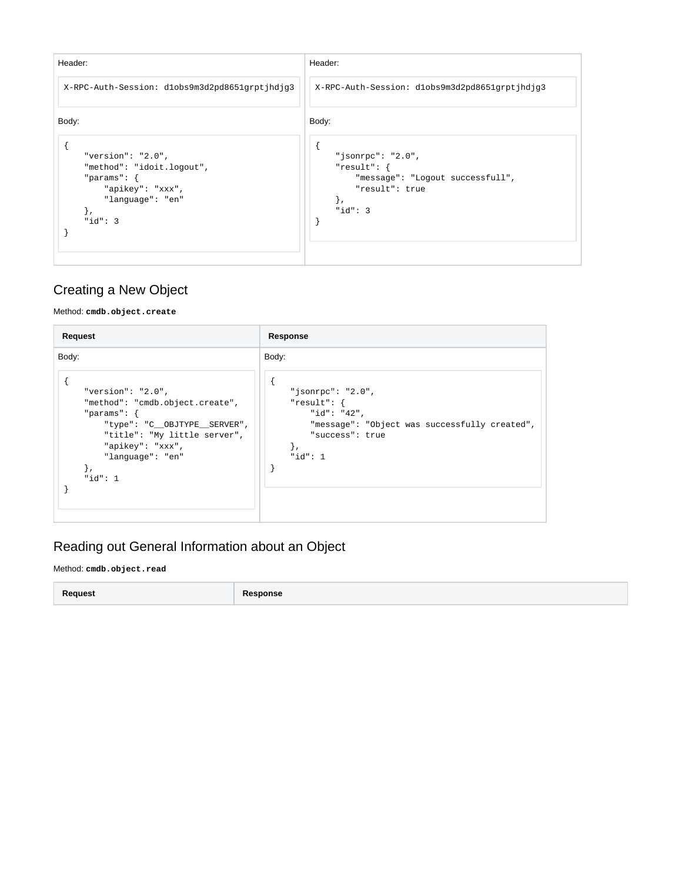| Header:                                                                                                                                        | Header:                                                                                                        |
|------------------------------------------------------------------------------------------------------------------------------------------------|----------------------------------------------------------------------------------------------------------------|
| X-RPC-Auth-Session: dlobs9m3d2pd8651grptjhdjg3                                                                                                 | X-RPC-Auth-Session: dlobs9m3d2pd8651grptjhdjg3                                                                 |
| Body:<br>"version": " $2.0$ ",<br>"method": "idoit.logout",<br>"params": $\{$<br>"apikey": "xxx",<br>"language": "en"<br>$\}$ ,<br>" $id$ ": 3 | Body:<br>"jsonrpc": "2.0",<br>"result": {<br>"message": "Logout successfull",<br>"result": true<br>" $id$ ": 3 |

### Creating a New Object

Method: **cmdb.object.create**

| Request                                                                                                                                                                                                               | Response                                                                                                                                    |
|-----------------------------------------------------------------------------------------------------------------------------------------------------------------------------------------------------------------------|---------------------------------------------------------------------------------------------------------------------------------------------|
| Body:<br>"version": " $2.0$ ",<br>"method": "cmdb.object.create",<br>"params": $\{$<br>"type": "C__OBJTYPE__SERVER",<br>"title": "My little server",<br>"apikey": "xxx",<br>"language": "en"<br>$\}$ ,<br>" $id$ ": 1 | Body:<br>"jsonrpc": "2.0",<br>"result": {<br>"id": "42",<br>"message": "Object was successfully created",<br>"success": true<br>" $id$ ": 1 |

## Reading out General Information about an Object

Method: **cmdb.object.read**

**Request Response**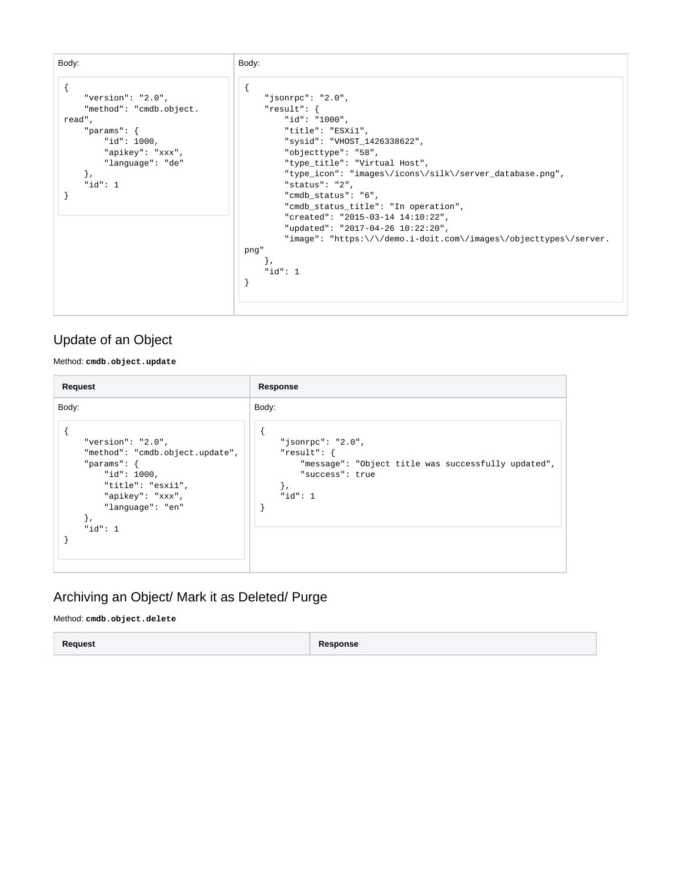

#### Update of an Object

Method: **cmdb.object.update**

| Request                                                                                                                                                                                  | Response                                                                                                                                    |
|------------------------------------------------------------------------------------------------------------------------------------------------------------------------------------------|---------------------------------------------------------------------------------------------------------------------------------------------|
| Body:<br>"version": " $2.0$ ",<br>"method": "cmdb.object.update",<br>"params": $\{$<br>" $id$ ": 1000,<br>"title": "esxil",<br>"apikey": "xxx",<br>"language": "en"<br>},<br>" $id$ ": 1 | Body:<br>"jsonrpc": "2.0",<br>"result": $\{$<br>"message": "Object title was successfully updated",<br>"success": true<br>ì,<br>" $id$ ": 1 |

#### Archiving an Object/ Mark it as Deleted/ Purge

Method: **cmdb.object.delete**

**Request Response**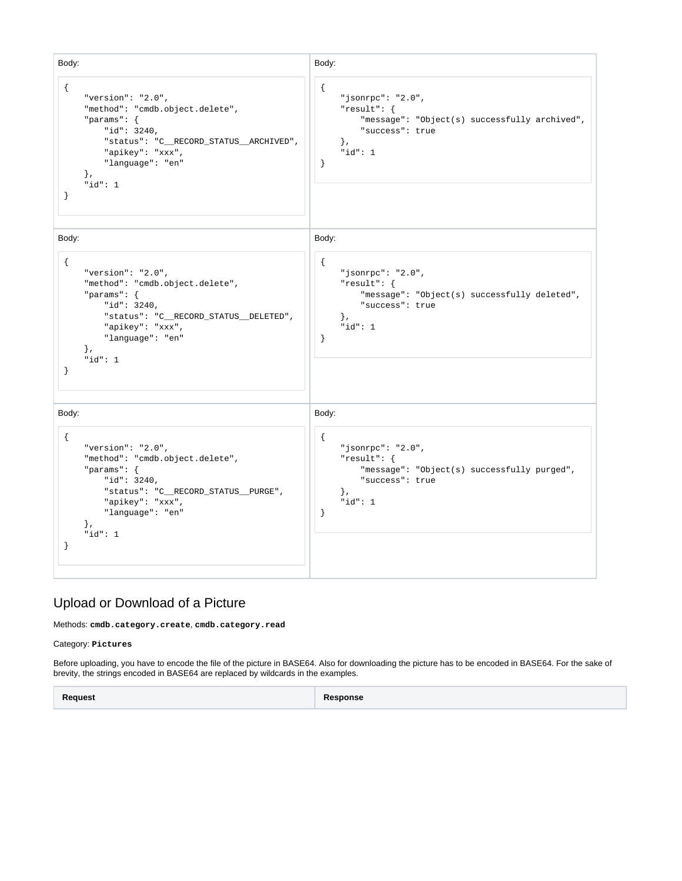Body: { "version": "2.0", "method": "cmdb.object.delete", "params": { "id": 3240, "status": "C\_\_RECORD\_STATUS\_\_ARCHIVED", "apikey": "xxx", "language": "en" }, "id": 1 } Body: { "jsonrpc": "2.0", "result": { "message": "Object(s) successfully archived", "success": true }, "id": 1 } Body: { "version": "2.0", "method": "cmdb.object.delete", "params": { "id": 3240, "status": "C\_\_RECORD\_STATUS\_\_DELETED", "apikey": "xxx", "language": "en" }, "id": 1 } Body: { "jsonrpc": "2.0", "result": { "message": "Object(s) successfully deleted", "success": true }, .<br>"id": 1 } Body: { "version": "2.0", "method": "cmdb.object.delete", "params": { "id": 3240, "status": "C\_\_RECORD\_STATUS\_\_PURGE", "apikey": "xxx", "language": "en" }, "id": 1 } Body: { "jsonrpc": "2.0", "result": { "message": "Object(s) successfully purged", "success": true }, "id": 1 }

#### Upload or Download of a Picture

Methods: **cmdb.category.create**, **cmdb.category.read**

Category: **Pictures**

Before uploading, you have to encode the file of the picture in BASE64. Also for downloading the picture has to be encoded in BASE64. For the sake of brevity, the strings encoded in BASE64 are replaced by wildcards in the examples.

**Request Response**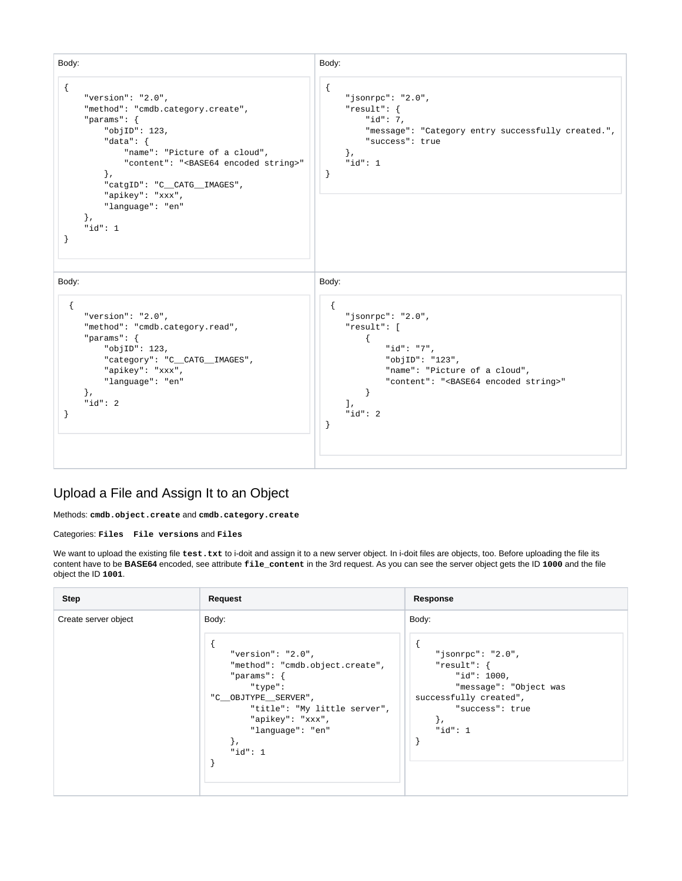

#### Upload a File and Assign It to an Object

Methods: **cmdb.object.create** and **cmdb.category.create**

Categories: **Files File versions** and **Files**

We want to upload the existing file test.txt to i-doit and assign it to a new server object. In i-doit files are objects, too. Before uploading the file its content have to be **BASE64** encoded, see attribute **file\_content** in the 3rd request. As you can see the server object gets the ID **1000** and the file object the ID **1001**.

| <b>Step</b>          | Request                                                                                                                                                                                                                         | Response                                                                                                                                                     |
|----------------------|---------------------------------------------------------------------------------------------------------------------------------------------------------------------------------------------------------------------------------|--------------------------------------------------------------------------------------------------------------------------------------------------------------|
| Create server object | Body:<br>"version": " $2.0$ ",<br>"method": "cmdb.object.create",<br>"params": $\{$<br>"type":<br>"C__OBJTYPE__SERVER",<br>"title": "My little server",<br>"apikey": "xxx",<br>"language": "en"<br>$\mathcal{L}$<br>" $id$ ": 1 | Body:<br>"jsonrpc": "2.0",<br>"result": $\{$<br>"id": 1000,<br>"message": "Object was<br>successfully created",<br>"success": true<br>$\cdot$<br>" $id$ ": 1 |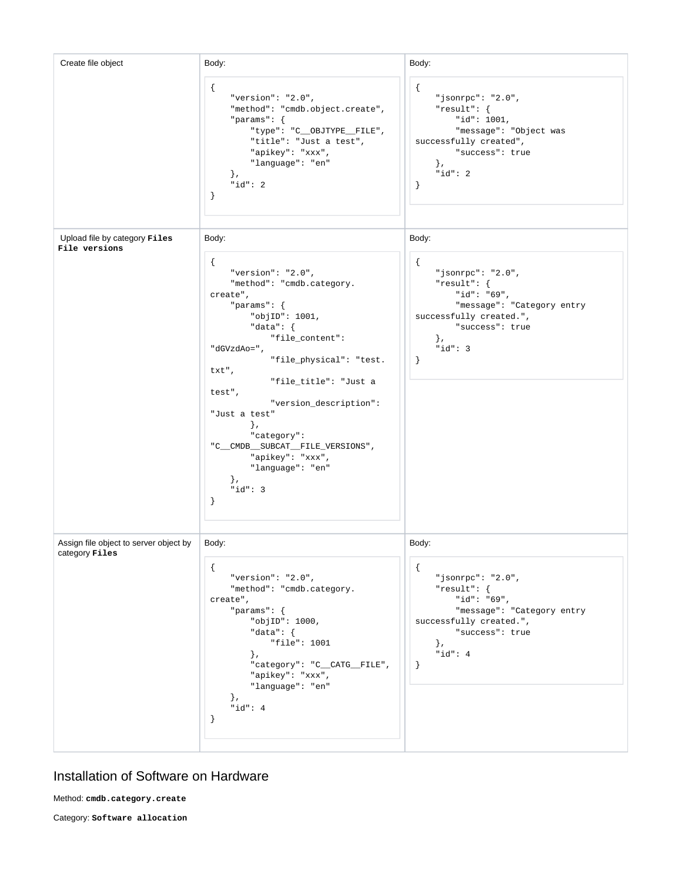| Create file object                                              | Body:                                                                                                                                                                                                                                                                                                                                                                                                                    | Body:                                                                                                                                                                                         |
|-----------------------------------------------------------------|--------------------------------------------------------------------------------------------------------------------------------------------------------------------------------------------------------------------------------------------------------------------------------------------------------------------------------------------------------------------------------------------------------------------------|-----------------------------------------------------------------------------------------------------------------------------------------------------------------------------------------------|
|                                                                 | $\mathcal{L}$<br>"version": " $2.0$ ",<br>"method": "cmdb.object.create",<br>"params": $\{$<br>"type": "C_OBJTYPE_FILE",<br>"title": "Just a test",<br>"apikey": "xxx",<br>"language": "en"<br>$\}$ ,<br>" $id$ ": 2<br>$\cdot$                                                                                                                                                                                          | $\mathcal{L}$<br>"jsonrpc": "2.0",<br>"result": $\{$<br>"id": 1001,<br>"message": "Object was<br>successfully created",<br>"success": true<br>$\}$ ,<br>" $id$ ": 2<br>$\}$                   |
| Upload file by category Files<br>File versions                  | Body:                                                                                                                                                                                                                                                                                                                                                                                                                    | Body:                                                                                                                                                                                         |
|                                                                 | $\mathcal{L}$<br>"version": " $2.0$ ",<br>"method": "cmdb.category.<br>create",<br>"params": $\{$<br>"objID": 1001,<br>"data": $\{$<br>"file_content":<br>"dGVzdAo=",<br>"file_physical": "test.<br>txt",<br>"file_title": "Just a<br>test",<br>"version_description":<br>"Just a test"<br>$\}$ ,<br>"category":<br>"C_CMDB_SUBCAT_FILE_VERSIONS",<br>"apikey": "xxx",<br>"language": "en"<br>$\}$ ,<br>" $id$ ": 3<br>} | $\mathcal{L}$<br>" $jsonrpc$ ": "2.0",<br>" $result":$ }<br>"id": "69",<br>"message": "Category entry<br>successfully created.",<br>"success": true<br>$\}$ ,<br>" $id$ ": 3<br>$\mathcal{F}$ |
| Assign file object to server object by<br>category <b>Files</b> | Body:                                                                                                                                                                                                                                                                                                                                                                                                                    | Body:                                                                                                                                                                                         |
|                                                                 | ₹.<br>"version": " $2.0$ ",<br>"method": "cmdb.category.<br>create",<br>"params": $\{$<br>"objID": 1000,<br>"data": $\{$<br>"file": 1001<br>$\}$ ,<br>"category": "C_CATG_FILE",<br>"apikey": "xxx",<br>"language": "en"<br>$\}$ ,<br>" $id$ ": 4<br>· }                                                                                                                                                                 | $\mathfrak{t}$<br>"jsonrpc": "2.0",<br>"result": {<br>"id": "69",<br>"message": "Category entry<br>successfully created.",<br>"success": true<br>$\}$ ,<br>"id": $4$<br>$\mathcal{F}$         |

### Installation of Software on Hardware

Method: **cmdb.category.create**

Category: **Software allocation**